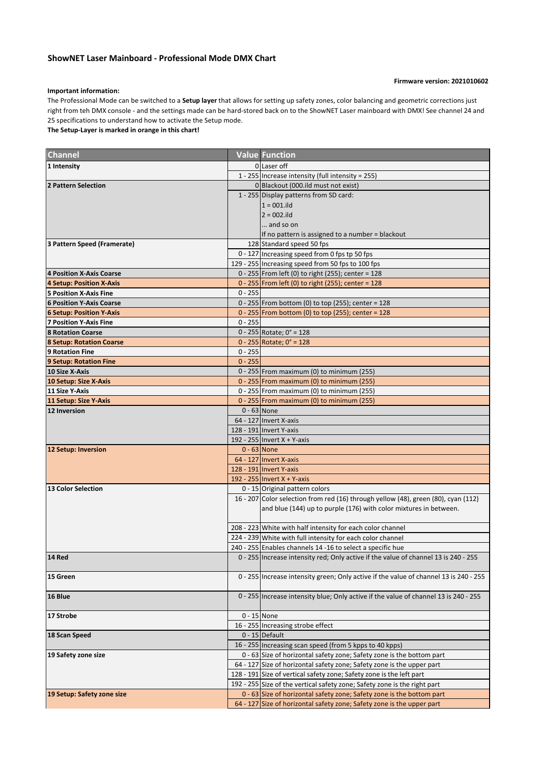## **ShowNET Laser Mainboard - Professional Mode DMX Chart**

## **Firmware version: 2021010602**

## **Important information:**

The Professional Mode can be switched to a **Setup layer** that allows for setting up safety zones, color balancing and geometric corrections just right from teh DMX console - and the settings made can be hard-stored back on to the ShowNET Laser mainboard with DMX! See channel 24 and 25 specifications to understand how to activate the Setup mode.

**The Setup-Layer is marked in orange in this chart!**

| <b>Channel</b>                  |               | <b>Value Function</b>                                                                  |
|---------------------------------|---------------|----------------------------------------------------------------------------------------|
| 1 Intensity                     |               | 0 Laser off                                                                            |
|                                 |               | 1 - 255 Increase intensity (full intensity = 255)                                      |
| 2 Pattern Selection             |               | 0 Blackout (000.ild must not exist)                                                    |
|                                 |               | 1 - 255 Display patterns from SD card:                                                 |
|                                 |               | $1 = 001$ .ild                                                                         |
|                                 |               | $2 = 002$ .ild                                                                         |
|                                 |               | and so on                                                                              |
|                                 |               | If no pattern is assigned to a number = blackout                                       |
| 3 Pattern Speed (Framerate)     |               | 128 Standard speed 50 fps                                                              |
|                                 |               | 0 - 127 Increasing speed from 0 fps tp 50 fps                                          |
|                                 |               | 129 - 255 Increasing speed from 50 fps to 100 fps                                      |
| 4 Position X-Axis Coarse        |               | 0 - 255 From left (0) to right (255); center = 128                                     |
| 4 Setup: Position X-Axis        |               | 0 - 255   From left (0) to right (255); center = 128                                   |
| <b>5 Position X-Axis Fine</b>   | $0 - 255$     |                                                                                        |
| <b>6 Position Y-Axis Coarse</b> |               | 0 - 255 From bottom (0) to top (255); center = 128                                     |
| <b>6 Setup: Position Y-Axis</b> |               | 0 - 255 From bottom (0) to top (255); center = $128$                                   |
| <b>7 Position Y-Axis Fine</b>   | $0 - 255$     |                                                                                        |
| <b>8 Rotation Coarse</b>        |               | $0 - 255$ Rotate; $0^\circ = 128$                                                      |
| <b>8 Setup: Rotation Coarse</b> |               | $0 - 255$ Rotate; $0^\circ = 128$                                                      |
| <b>9 Rotation Fine</b>          | $0 - 255$     |                                                                                        |
| 9 Setup: Rotation Fine          | $0 - 255$     |                                                                                        |
| 10 Size X-Axis                  |               | 0 - 255 From maximum (0) to minimum (255)                                              |
| 10 Setup: Size X-Axis           |               | 0 - 255 From maximum (0) to minimum (255)                                              |
| 11 Size Y-Axis                  |               | 0 - 255 From maximum (0) to minimum (255)                                              |
| 11 Setup: Size Y-Axis           |               | $0 - 255$ From maximum (0) to minimum (255)                                            |
| <b>12 Inversion</b>             | $0 - 63$ None |                                                                                        |
|                                 |               | 64 - 127 Invert X-axis                                                                 |
|                                 |               | 128 - 191 Invert Y-axis                                                                |
|                                 |               | 192 - 255 Invert X + Y-axis                                                            |
| 12 Setup: Inversion             | $0 - 63$ None |                                                                                        |
|                                 |               | 64 - 127 Invert X-axis                                                                 |
|                                 |               | 128 - 191 Invert Y-axis                                                                |
|                                 |               | 192 - 255 Invert X + Y-axis                                                            |
| <b>13 Color Selection</b>       |               | 0 - 15 Original pattern colors                                                         |
|                                 |               | 16 - 207 Color selection from red (16) through yellow (48), green (80), cyan (112)     |
|                                 |               | and blue (144) up to purple (176) with color mixtures in between.                      |
|                                 |               | 208 - 223 White with half intensity for each color channel                             |
|                                 |               | 224 - 239 White with full intensity for each color channel                             |
|                                 |               | 240 - 255 Enables channels 14 -16 to select a specific hue                             |
| 14 Red                          |               | 0 - 255 Increase intensity red; Only active if the value of channel 13 is 240 - 255    |
|                                 |               |                                                                                        |
| 15 Green                        |               | 0 - 255 Increase intensity green; Only active if the value of channel 13 is 240 - 255  |
|                                 |               |                                                                                        |
| 16 Blue                         |               | 0 - 255   Increase intensity blue; Only active if the value of channel 13 is 240 - 255 |
|                                 |               |                                                                                        |
| 17 Strobe                       | $0 - 15$ None |                                                                                        |
|                                 |               | 16 - 255 Increasing strobe effect                                                      |
| 18 Scan Speed                   |               | $0 - 15$ Default                                                                       |
|                                 |               | 16 - 255 Increasing scan speed (from 5 kpps to 40 kpps)                                |
| 19 Safety zone size             |               | 0 - 63 Size of horizontal safety zone; Safety zone is the bottom part                  |
|                                 |               | 64 - 127 Size of horizontal safety zone; Safety zone is the upper part                 |
|                                 |               | 128 - 191 Size of vertical safety zone; Safety zone is the left part                   |
|                                 |               | 192 - 255 Size of the vertical safety zone; Safety zone is the right part              |
| 19 Setup: Safety zone size      |               | 0 - 63 Size of horizontal safety zone; Safety zone is the bottom part                  |
|                                 |               | 64 - 127 Size of horizontal safety zone; Safety zone is the upper part                 |